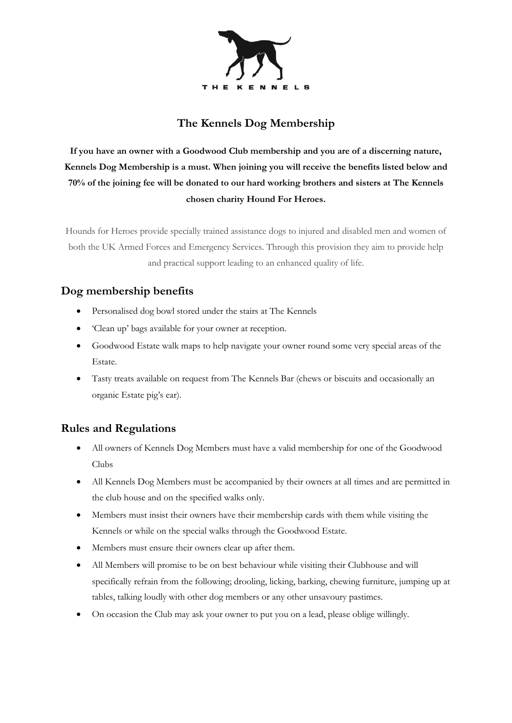

## **The Kennels Dog Membership**

**If you have an owner with a Goodwood Club membership and you are of a discerning nature, Kennels Dog Membership is a must. When joining you will receive the benefits listed below and 70% of the joining fee will be donated to our hard working brothers and sisters at The Kennels chosen charity Hound For Heroes.** 

Hounds for Heroes provide specially trained assistance dogs to injured and disabled men and women of both the UK Armed Forces and Emergency Services. Through this provision they aim to provide help and practical support leading to an enhanced quality of life.

## **Dog membership benefits**

- Personalised dog bowl stored under the stairs at The Kennels
- 'Clean up' bags available for your owner at reception.
- Goodwood Estate walk maps to help navigate your owner round some very special areas of the Estate.
- Tasty treats available on request from The Kennels Bar (chews or biscuits and occasionally an organic Estate pig's ear).

## **Rules and Regulations**

- All owners of Kennels Dog Members must have a valid membership for one of the Goodwood Clubs
- All Kennels Dog Members must be accompanied by their owners at all times and are permitted in the club house and on the specified walks only.
- Members must insist their owners have their membership cards with them while visiting the Kennels or while on the special walks through the Goodwood Estate.
- Members must ensure their owners clear up after them.
- All Members will promise to be on best behaviour while visiting their Clubhouse and will specifically refrain from the following; drooling, licking, barking, chewing furniture, jumping up at tables, talking loudly with other dog members or any other unsavoury pastimes.
- On occasion the Club may ask your owner to put you on a lead, please oblige willingly.